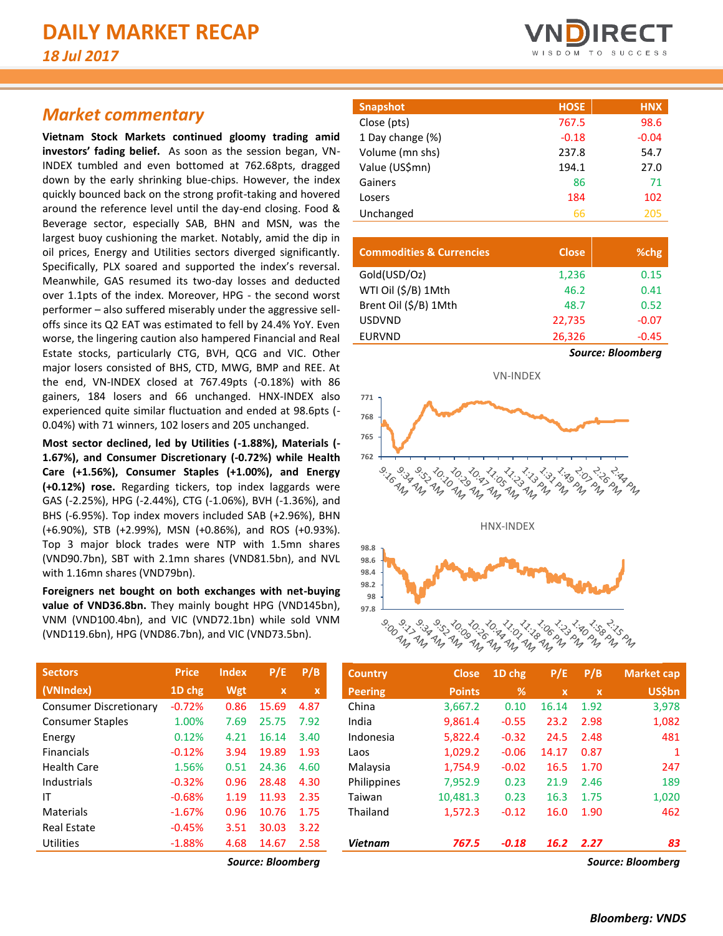# *Market commentary*

**Vietnam Stock Markets continued gloomy trading amid investors' fading belief.** As soon as the session began, VN-INDEX tumbled and even bottomed at 762.68pts, dragged down by the early shrinking blue-chips. However, the index quickly bounced back on the strong profit-taking and hovered around the reference level until the day-end closing. Food & Beverage sector, especially SAB, BHN and MSN, was the largest buoy cushioning the market. Notably, amid the dip in oil prices, Energy and Utilities sectors diverged significantly. Specifically, PLX soared and supported the index's reversal. Meanwhile, GAS resumed its two-day losses and deducted over 1.1pts of the index. Moreover, HPG - the second worst performer – also suffered miserably under the aggressive selloffs since its Q2 EAT was estimated to fell by 24.4% YoY. Even worse, the lingering caution also hampered Financial and Real Estate stocks, particularly CTG, BVH, QCG and VIC. Other major losers consisted of BHS, CTD, MWG, BMP and REE. At the end, VN-INDEX closed at 767.49pts (-0.18%) with 86 gainers, 184 losers and 66 unchanged. HNX-INDEX also experienced quite similar fluctuation and ended at 98.6pts (- 0.04%) with 71 winners, 102 losers and 205 unchanged.

**Most sector declined, led by Utilities (-1.88%), Materials (- 1.67%), and Consumer Discretionary (-0.72%) while Health Care (+1.56%), Consumer Staples (+1.00%), and Energy (+0.12%) rose.** Regarding tickers, top index laggards were GAS (-2.25%), HPG (-2.44%), CTG (-1.06%), BVH (-1.36%), and BHS (-6.95%). Top index movers included SAB (+2.96%), BHN (+6.90%), STB (+2.99%), MSN (+0.86%), and ROS (+0.93%). Top 3 major block trades were NTP with 1.5mn shares (VND90.7bn), SBT with 2.1mn shares (VND81.5bn), and NVL with 1.16mn shares (VND79bn).

**Foreigners net bought on both exchanges with net-buying**  value of VND36.8bn. They mainly bought HPG (VND145bn), VNM (VND100.4bn), and VIC (VND72.1bn) while sold VNM (VND119.6bn), HPG (VND86.7bn), and VIC (VND73.5bn).

| <b>Sectors</b>                | <b>Price</b> | Index | P/E   | P/B  |
|-------------------------------|--------------|-------|-------|------|
| (VNIndex)                     | 1D chg       | Wgt   | x     | x    |
| <b>Consumer Discretionary</b> | $-0.72%$     | 0.86  | 15.69 | 4.87 |
| <b>Consumer Staples</b>       | 1.00%        | 7.69  | 25.75 | 7.92 |
| Energy                        | 0.12%        | 4.21  | 16.14 | 3.40 |
| <b>Financials</b>             | $-0.12%$     | 3.94  | 19.89 | 1.93 |
| <b>Health Care</b>            | 1.56%        | 0.51  | 24.36 | 4.60 |
| Industrials                   | $-0.32%$     | 0.96  | 28.48 | 4.30 |
| ΙT                            | $-0.68%$     | 1.19  | 11.93 | 2.35 |
| Materials                     | $-1.67%$     | 0.96  | 10.76 | 1.75 |
| Real Estate                   | $-0.45%$     | 3.51  | 30.03 | 3.22 |
| Utilities                     | $-1.88%$     | 4.68  | 14.67 | 2.58 |
|                               |              |       |       |      |



| <b>Snapshot</b>  | <b>HOSE</b> | <b>HNX</b> |
|------------------|-------------|------------|
| Close (pts)      | 767.5       | 98.6       |
| 1 Day change (%) | $-0.18$     | $-0.04$    |
| Volume (mn shs)  | 237.8       | 54.7       |
| Value (US\$mn)   | 194.1       | 27.0       |
| Gainers          | 86          | 71         |
| Losers           | 184         | 102        |
| Unchanged        | 66          | 205        |

| <b>Commodities &amp; Currencies</b> | <b>Close</b> | %chg                     |
|-------------------------------------|--------------|--------------------------|
| Gold(USD/Oz)                        | 1,236        | 0.15                     |
| WTI Oil (\$/B) 1Mth                 | 46.2         | 0.41                     |
| Brent Oil (\$/B) 1Mth               | 48.7         | 0.52                     |
| <b>USDVND</b>                       | 22,735       | $-0.07$                  |
| <b>EURVND</b>                       | 26,326       | $-0.45$                  |
|                                     |              | <b>Source: Bloomberg</b> |





| <b>Sectors</b>                | <b>Price</b> | <b>Index</b> | P/E          | P/B         | <b>Country</b> | <b>Close</b>  | 1D chg  | P/E         | P/B          | Market cap    |
|-------------------------------|--------------|--------------|--------------|-------------|----------------|---------------|---------|-------------|--------------|---------------|
| (VNIndex)                     | 1D chg       | Wgt          | $\mathbf{x}$ | $\mathbf x$ | <b>Peering</b> | <b>Points</b> | %       | $\mathbf x$ | $\mathbf{x}$ | <b>US\$bn</b> |
| <b>Consumer Discretionary</b> | $-0.72%$     | 0.86         | 15.69        | 4.87        | China          | 3,667.2       | 0.10    | 16.14       | 1.92         | 3,978         |
| <b>Consumer Staples</b>       | 1.00%        | 7.69         | 25.75        | 7.92        | India          | 9,861.4       | $-0.55$ | 23.2        | 2.98         | 1,082         |
| Energy                        | 0.12%        | 4.21         | 16.14        | 3.40        | Indonesia      | 5,822.4       | $-0.32$ | 24.5        | 2.48         | 481           |
| <b>Financials</b>             | $-0.12%$     | 3.94         | 19.89        | 1.93        | Laos           | 1,029.2       | $-0.06$ | 14.17       | 0.87         |               |
| Health Care                   | 1.56%        | 0.51         | 24.36        | 4.60        | Malaysia       | 1,754.9       | $-0.02$ | 16.5        | 1.70         | 247           |
| Industrials                   | $-0.32%$     | 0.96         | 28.48        | 4.30        | Philippines    | 7,952.9       | 0.23    | 21.9        | 2.46         | 189           |
| ΙT                            | $-0.68%$     | 1.19         | 11.93        | 2.35        | Taiwan         | 10,481.3      | 0.23    | 16.3        | 1.75         | 1,020         |
| Materials                     | $-1.67%$     | 0.96         | 10.76        | 1.75        | Thailand       | 1,572.3       | $-0.12$ | 16.0        | 1.90         | 462           |
| <b>Real Estate</b>            | $-0.45%$     | 3.51         | 30.03        | 3.22        |                |               |         |             |              |               |
| Utilities                     | $-1.88%$     | 4.68         | 14.67        | 2.58        | <b>Vietnam</b> | 767.5         | $-0.18$ | 16.2        | 2.27         | 83            |
|                               |              |              |              |             |                |               |         |             |              |               |

*Source: Bloomberg Source: Bloomberg*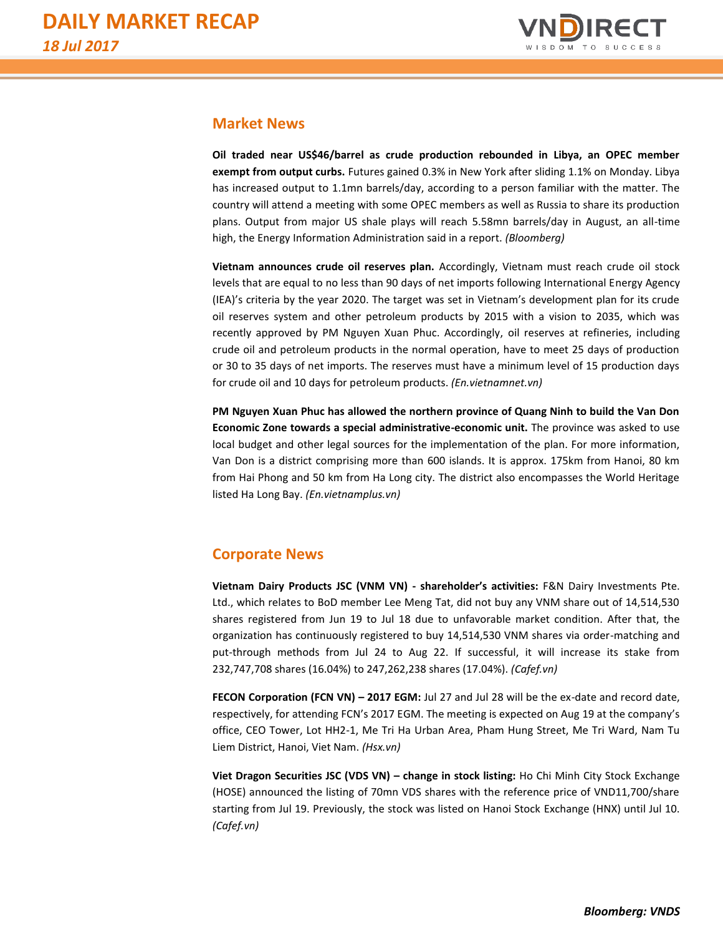

### **Market News**

**Oil traded near US\$46/barrel as crude production rebounded in Libya, an OPEC member exempt from output curbs.** Futures gained 0.3% in New York after sliding 1.1% on Monday. Libya has increased output to 1.1mn barrels/day, according to a person familiar with the matter. The country will attend a meeting with some OPEC members as well as Russia to share its production plans. Output from major US shale plays will reach 5.58mn barrels/day in August, an all-time high, the Energy Information Administration said in a report. *(Bloomberg)*

**Vietnam announces crude oil reserves plan.** Accordingly, Vietnam must reach crude oil stock levels that are equal to no less than 90 days of net imports following International Energy Agency (IEA)'s criteria by the year 2020. The target was set in Vietnam's development plan for its crude oil reserves system and other petroleum products by 2015 with a vision to 2035, which was recently approved by PM Nguyen Xuan Phuc. Accordingly, oil reserves at refineries, including crude oil and petroleum products in the normal operation, have to meet 25 days of production or 30 to 35 days of net imports. The reserves must have a minimum level of 15 production days for crude oil and 10 days for petroleum products. *(En.vietnamnet.vn)*

**PM Nguyen Xuan Phuc has allowed the northern province of Quang Ninh to build the Van Don Economic Zone towards a special administrative-economic unit.** The province was asked to use local budget and other legal sources for the implementation of the plan. For more information, Van Don is a district comprising more than 600 islands. It is approx. 175km from Hanoi, 80 km from Hai Phong and 50 km from Ha Long city. The district also encompasses the World Heritage listed Ha Long Bay. *(En.vietnamplus.vn)*

## **Corporate News**

**Vietnam Dairy Products JSC (VNM VN) - shareholder's activities:** F&N Dairy Investments Pte. Ltd., which relates to BoD member Lee Meng Tat, did not buy any VNM share out of 14,514,530 shares registered from Jun 19 to Jul 18 due to unfavorable market condition. After that, the organization has continuously registered to buy 14,514,530 VNM shares via order-matching and put-through methods from Jul 24 to Aug 22. If successful, it will increase its stake from 232,747,708 shares (16.04%) to 247,262,238 shares (17.04%). *(Cafef.vn)*

**FECON Corporation (FCN VN) – 2017 EGM:** Jul 27 and Jul 28 will be the ex-date and record date, respectively, for attending FCN's 2017 EGM. The meeting is expected on Aug 19 at the company's office, CEO Tower, Lot HH2-1, Me Tri Ha Urban Area, Pham Hung Street, Me Tri Ward, Nam Tu Liem District, Hanoi, Viet Nam. *(Hsx.vn)*

**Viet Dragon Securities JSC (VDS VN) – change in stock listing:** Ho Chi Minh City Stock Exchange (HOSE) announced the listing of 70mn VDS shares with the reference price of VND11,700/share starting from Jul 19. Previously, the stock was listed on Hanoi Stock Exchange (HNX) until Jul 10. *(Cafef.vn)*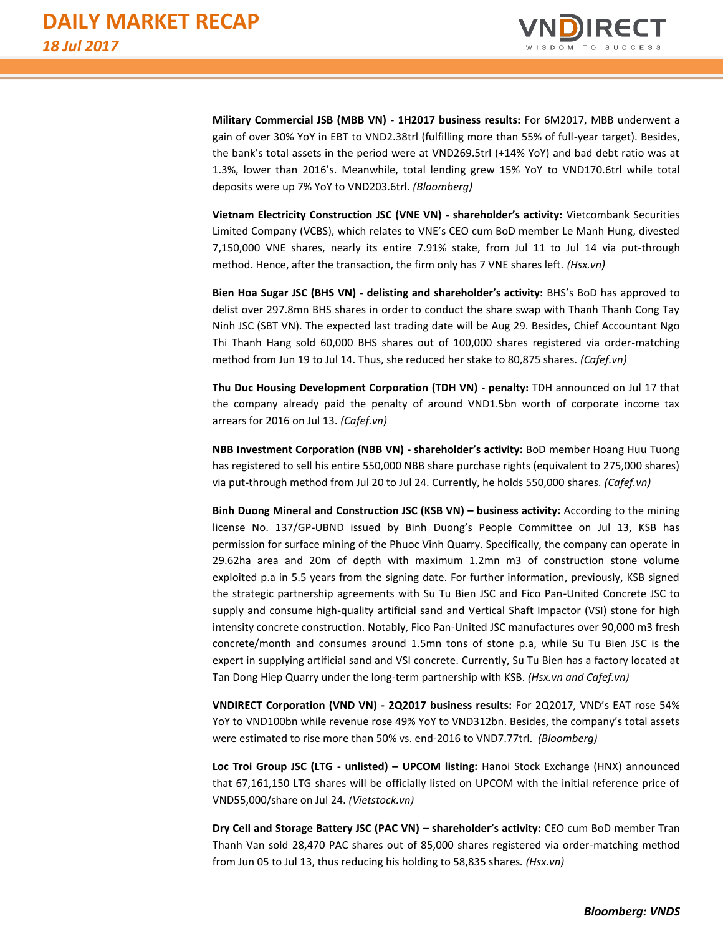

**Military Commercial JSB (MBB VN) - 1H2017 business results:** For 6M2017, MBB underwent a gain of over 30% YoY in EBT to VND2.38trl (fulfilling more than 55% of full-year target). Besides, the bank's total assets in the period were at VND269.5trl (+14% YoY) and bad debt ratio was at 1.3%, lower than 2016's. Meanwhile, total lending grew 15% YoY to VND170.6trl while total deposits were up 7% YoY to VND203.6trl. *(Bloomberg)*

**Vietnam Electricity Construction JSC (VNE VN) - shareholder's activity:** Vietcombank Securities Limited Company (VCBS), which relates to VNE's CEO cum BoD member Le Manh Hung, divested 7,150,000 VNE shares, nearly its entire 7.91% stake, from Jul 11 to Jul 14 via put-through method. Hence, after the transaction, the firm only has 7 VNE shares left. *(Hsx.vn)*

**Bien Hoa Sugar JSC (BHS VN) - delisting and shareholder's activity:** BHS's BoD has approved to delist over 297.8mn BHS shares in order to conduct the share swap with Thanh Thanh Cong Tay Ninh JSC (SBT VN). The expected last trading date will be Aug 29. Besides, Chief Accountant Ngo Thi Thanh Hang sold 60,000 BHS shares out of 100,000 shares registered via order-matching method from Jun 19 to Jul 14. Thus, she reduced her stake to 80,875 shares*. (Cafef.vn)*

**Thu Duc Housing Development Corporation (TDH VN) - penalty:** TDH announced on Jul 17 that the company already paid the penalty of around VND1.5bn worth of corporate income tax arrears for 2016 on Jul 13. *(Cafef.vn)*

**NBB Investment Corporation (NBB VN) - shareholder's activity:** BoD member Hoang Huu Tuong has registered to sell his entire 550,000 NBB share purchase rights (equivalent to 275,000 shares) via put-through method from Jul 20 to Jul 24. Currently, he holds 550,000 shares*. (Cafef.vn)*

**Binh Duong Mineral and Construction JSC (KSB VN) – business activity:** According to the mining license No. 137/GP-UBND issued by Binh Duong's People Committee on Jul 13, KSB has permission for surface mining of the Phuoc Vinh Quarry. Specifically, the company can operate in 29.62ha area and 20m of depth with maximum 1.2mn m3 of construction stone volume exploited p.a in 5.5 years from the signing date. For further information, previously, KSB signed the strategic partnership agreements with Su Tu Bien JSC and Fico Pan-United Concrete JSC to supply and consume high-quality artificial sand and Vertical Shaft Impactor (VSI) stone for high intensity concrete construction. Notably, Fico Pan-United JSC manufactures over 90,000 m3 fresh concrete/month and consumes around 1.5mn tons of stone p.a, while Su Tu Bien JSC is the expert in supplying artificial sand and VSI concrete. Currently, Su Tu Bien has a factory located at Tan Dong Hiep Quarry under the long-term partnership with KSB. *(Hsx.vn and Cafef.vn)*

**VNDIRECT Corporation (VND VN) - 2Q2017 business results:** For 2Q2017, VND's EAT rose 54% YoY to VND100bn while revenue rose 49% YoY to VND312bn. Besides, the company's total assets were estimated to rise more than 50% vs. end-2016 to VND7.77trl. *(Bloomberg)*

**Loc Troi Group JSC (LTG - unlisted) – UPCOM listing:** Hanoi Stock Exchange (HNX) announced that 67,161,150 LTG shares will be officially listed on UPCOM with the initial reference price of VND55,000/share on Jul 24. *(Vietstock.vn)*

**Dry Cell and Storage Battery JSC (PAC VN) – shareholder's activity:** CEO cum BoD member Tran Thanh Van sold 28,470 PAC shares out of 85,000 shares registered via order-matching method from Jun 05 to Jul 13, thus reducing his holding to 58,835 shares*. (Hsx.vn)*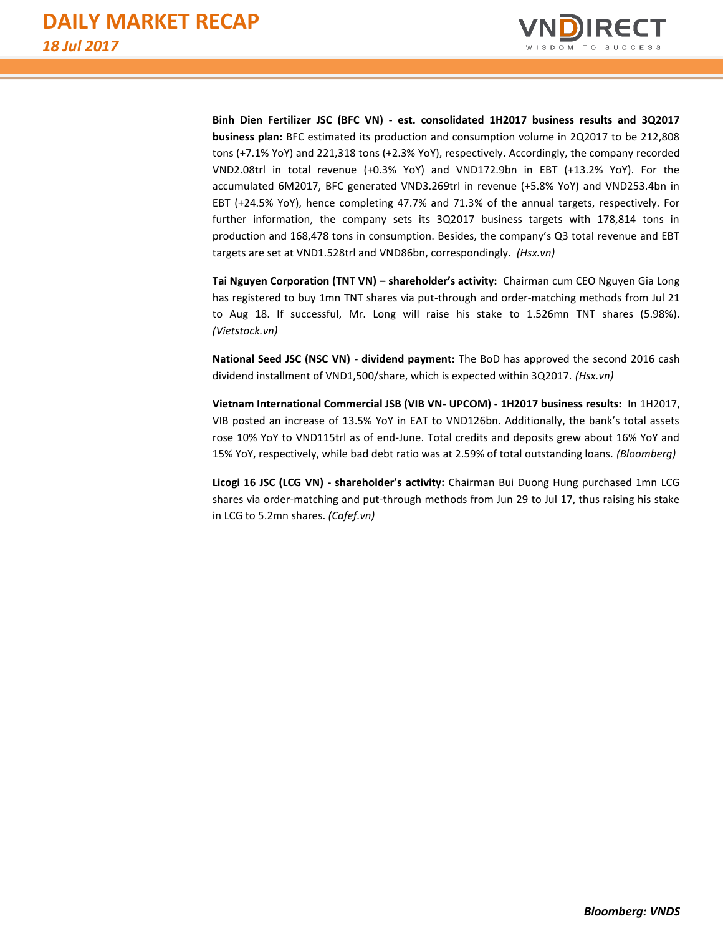

**Binh Dien Fertilizer JSC (BFC VN) - est. consolidated 1H2017 business results and 3Q2017 business plan:** BFC estimated its production and consumption volume in 2Q2017 to be 212,808 tons (+7.1% YoY) and 221,318 tons (+2.3% YoY), respectively. Accordingly, the company recorded VND2.08trl in total revenue (+0.3% YoY) and VND172.9bn in EBT (+13.2% YoY). For the accumulated 6M2017, BFC generated VND3.269trl in revenue (+5.8% YoY) and VND253.4bn in EBT (+24.5% YoY), hence completing 47.7% and 71.3% of the annual targets, respectively. For further information, the company sets its 3Q2017 business targets with 178,814 tons in production and 168,478 tons in consumption. Besides, the company's Q3 total revenue and EBT targets are set at VND1.528trl and VND86bn, correspondingly. *(Hsx.vn)*

**Tai Nguyen Corporation (TNT VN) – shareholder's activity:** Chairman cum CEO Nguyen Gia Long has registered to buy 1mn TNT shares via put-through and order-matching methods from Jul 21 to Aug 18. If successful, Mr. Long will raise his stake to 1.526mn TNT shares (5.98%). *(Vietstock.vn)*

**National Seed JSC (NSC VN) - dividend payment:** The BoD has approved the second 2016 cash dividend installment of VND1,500/share, which is expected within 3Q2017. *(Hsx.vn)*

**Vietnam International Commercial JSB (VIB VN- UPCOM) - 1H2017 business results:** In 1H2017, VIB posted an increase of 13.5% YoY in EAT to VND126bn. Additionally, the bank's total assets rose 10% YoY to VND115trl as of end-June. Total credits and deposits grew about 16% YoY and 15% YoY, respectively, while bad debt ratio was at 2.59% of total outstanding loans. *(Bloomberg)*

**Licogi 16 JSC (LCG VN) - shareholder's activity:** Chairman Bui Duong Hung purchased 1mn LCG shares via order-matching and put-through methods from Jun 29 to Jul 17, thus raising his stake in LCG to 5.2mn shares. *(Cafef.vn)*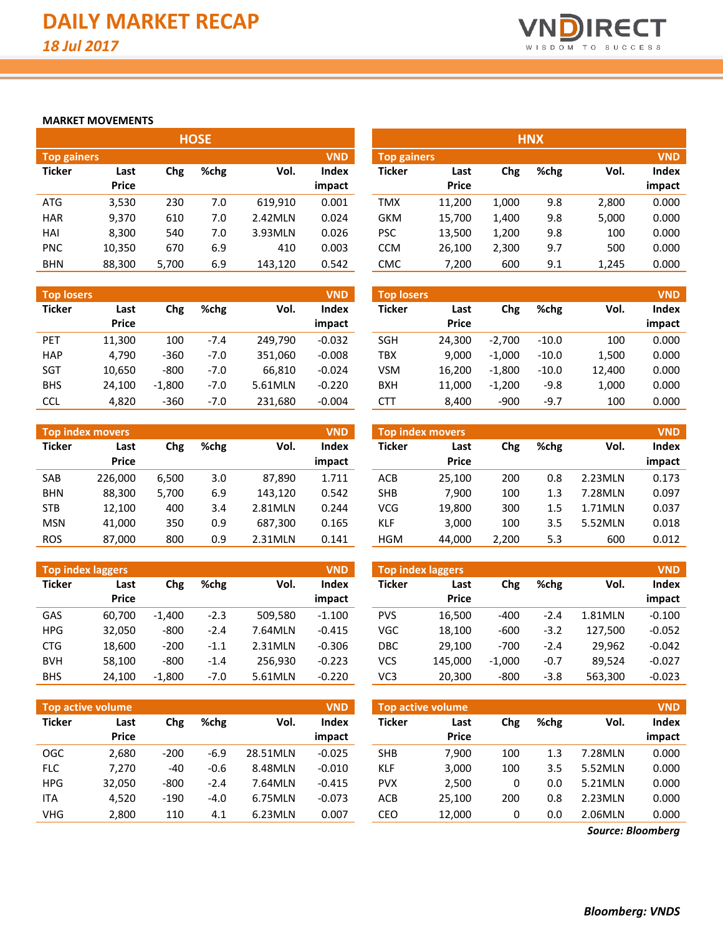

#### **MARKET MOVEMENTS**

|                    |              |       | <b>HOSE</b> |         |            |                    |              |       | <b>HNX</b> |       |            |
|--------------------|--------------|-------|-------------|---------|------------|--------------------|--------------|-------|------------|-------|------------|
| <b>Top gainers</b> |              |       |             |         | <b>VND</b> | <b>Top gainers</b> |              |       |            |       | <b>VND</b> |
| <b>Ticker</b>      | Last         | Chg   | $%$ chg     | Vol.    | Index      | <b>Ticker</b>      | Last         | Chg   | %chg       | Vol.  | Index      |
|                    | <b>Price</b> |       |             |         | impact     |                    | <b>Price</b> |       |            |       | impact     |
| <b>ATG</b>         | 3,530        | 230   | 7.0         | 619.910 | 0.001      | <b>TMX</b>         | 11.200       | 1,000 | 9.8        | 2,800 | 0.000      |
| <b>HAR</b>         | 9,370        | 610   | 7.0         | 2.42MLN | 0.024      | <b>GKM</b>         | 15,700       | 1,400 | 9.8        | 5,000 | 0.000      |
| HAI                | 8,300        | 540   | 7.0         | 3.93MLN | 0.026      | <b>PSC</b>         | 13,500       | 1,200 | 9.8        | 100   | 0.000      |
| <b>PNC</b>         | 10,350       | 670   | 6.9         | 410     | 0.003      | <b>CCM</b>         | 26,100       | 2,300 | 9.7        | 500   | 0.000      |
| <b>BHN</b>         | 88,300       | 5.700 | 6.9         | 143,120 | 0.542      | <b>CMC</b>         | 7.200        | 600   | 9.1        | 1.245 | 0.000      |

| <b>Top losers</b> |                      |          |        |         | <b>VND</b>             | <b>Top losers</b> |                      |          |         |        | <b>VND</b>      |
|-------------------|----------------------|----------|--------|---------|------------------------|-------------------|----------------------|----------|---------|--------|-----------------|
| <b>Ticker</b>     | Last<br><b>Price</b> | Chg      | %chg   | Vol.    | <b>Index</b><br>impact | <b>Ticker</b>     | Last<br><b>Price</b> | Chg      | %chg    | Vol.   | Index<br>impact |
| PET               | 11,300               | 100      | $-7.4$ | 249.790 | $-0.032$               | <b>SGH</b>        | 24.300               | $-2.700$ | $-10.0$ | 100    | 0.000           |
| <b>HAP</b>        | 4.790                | $-360$   | $-7.0$ | 351.060 | $-0.008$               | <b>TBX</b>        | 9.000                | $-1.000$ | $-10.0$ | 1,500  | 0.000           |
| <b>SGT</b>        | 10,650               | $-800$   | $-7.0$ | 66.810  | $-0.024$               | <b>VSM</b>        | 16.200               | $-1,800$ | $-10.0$ | 12,400 | 0.000           |
| <b>BHS</b>        | 24.100               | $-1.800$ | $-7.0$ | 5.61MLN | $-0.220$               | BXH               | 11,000               | $-1.200$ | $-9.8$  | 1,000  | 0.000           |
| <b>CCL</b>        | 4,820                | $-360$   | $-7.0$ | 231,680 | $-0.004$               | CTT               | 8.400                | $-900$   | $-9.7$  | 100    | 0.000           |

|               | <b>Top index movers</b> |       |      |         | <b>VND</b>   |               | <b>Top index movers</b> |       |      |         | <b>VND</b> |
|---------------|-------------------------|-------|------|---------|--------------|---------------|-------------------------|-------|------|---------|------------|
| <b>Ticker</b> | Last                    | Chg   | %chg | Vol.    | <b>Index</b> | <b>Ticker</b> | Last                    | Chg   | %chg | Vol.    | Index      |
|               | <b>Price</b>            |       |      |         | impact       |               | <b>Price</b>            |       |      |         | impact     |
| SAB           | 226.000                 | 6,500 | 3.0  | 87,890  | 1.711        | ACB           | 25,100                  | 200   | 0.8  | 2.23MLN | 0.173      |
| <b>BHN</b>    | 88,300                  | 5,700 | 6.9  | 143.120 | 0.542        | <b>SHB</b>    | 7.900                   | 100   | 1.3  | 7.28MLN | 0.097      |
| <b>STB</b>    | 12,100                  | 400   | 3.4  | 2.81MLN | 0.244        | <b>VCG</b>    | 19,800                  | 300   | 1.5  | 1.71MLN | 0.037      |
| <b>MSN</b>    | 41.000                  | 350   | 0.9  | 687.300 | 0.165        | KLF           | 3,000                   | 100   | 3.5  | 5.52MLN | 0.018      |
| <b>ROS</b>    | 87,000                  | 800   | 0.9  | 2.31MLN | 0.141        | <b>HGM</b>    | 44,000                  | 2.200 | 5.3  | 600     | 0.012      |

| Top index laggers |              |          |        |         | <b>VND</b>   | Top index laggers<br><b>VND</b> |              |          |        |         |          |
|-------------------|--------------|----------|--------|---------|--------------|---------------------------------|--------------|----------|--------|---------|----------|
| <b>Ticker</b>     | Last         | Chg      | %chg   | Vol.    | <b>Index</b> | Ticker                          | Last         | Chg      | %chg   | Vol.    | Index    |
|                   | <b>Price</b> |          |        |         | impact       |                                 | <b>Price</b> |          |        |         | impact   |
| <b>GAS</b>        | 60.700       | $-1.400$ | $-2.3$ | 509.580 | $-1.100$     | <b>PVS</b>                      | 16,500       | $-400$   | $-2.4$ | 1.81MLN | $-0.100$ |
| <b>HPG</b>        | 32.050       | $-800$   | $-2.4$ | 7.64MLN | $-0.415$     | <b>VGC</b>                      | 18,100       | $-600$   | $-3.2$ | 127,500 | $-0.052$ |
| <b>CTG</b>        | 18,600       | $-200$   | $-1.1$ | 2.31MLN | $-0.306$     | <b>DBC</b>                      | 29.100       | $-700$   | $-2.4$ | 29.962  | $-0.042$ |
| <b>BVH</b>        | 58,100       | $-800$   | $-1.4$ | 256.930 | $-0.223$     | VCS                             | 145.000      | $-1.000$ | $-0.7$ | 89.524  | $-0.027$ |
| <b>BHS</b>        | 24,100       | $-1,800$ | $-7.0$ | 5.61MLN | $-0.220$     | VC <sub>3</sub>                 | 20,300       | $-800$   | $-3.8$ | 563,300 | $-0.023$ |

|               | <b>Top active volume</b> |        |        |          | <b>VND</b>             |               | <b>Top active volume</b> |     |      |         | <b>VND</b>      |
|---------------|--------------------------|--------|--------|----------|------------------------|---------------|--------------------------|-----|------|---------|-----------------|
| <b>Ticker</b> | Last<br><b>Price</b>     | Chg    | %chg   | Vol.     | <b>Index</b><br>impact | <b>Ticker</b> | Last<br><b>Price</b>     | Chg | %chg | Vol.    | Index<br>impact |
| OGC           | 2.680                    | $-200$ | $-6.9$ | 28.51MLN | $-0.025$               | <b>SHB</b>    | 7.900                    | 100 | 1.3  | 7.28MLN | 0.000           |
| <b>FLC</b>    | 7.270                    | -40    | $-0.6$ | 8.48MLN  | $-0.010$               | KLF           | 3,000                    | 100 | 3.5  | 5.52MLN | 0.000           |
| <b>HPG</b>    | 32.050                   | $-800$ | $-2.4$ | 7.64MLN  | $-0.415$               | <b>PVX</b>    | 2,500                    | 0   | 0.0  | 5.21MLN | 0.000           |
| ITA           | 4,520                    | $-190$ | $-4.0$ | 6.75MLN  | $-0.073$               | ACB           | 25.100                   | 200 | 0.8  | 2.23MLN | 0.000           |
| VHG           | 2,800                    | 110    | 4.1    | 6.23MLN  | 0.007                  | CEO           | 12,000                   | 0   | 0.0  | 2.06MLN | 0.000           |

|                                  | <b>HNX</b> |       |      |       |        |  |  |  |  |  |  |
|----------------------------------|------------|-------|------|-------|--------|--|--|--|--|--|--|
| <b>VND</b><br><b>Top gainers</b> |            |       |      |       |        |  |  |  |  |  |  |
| <b>Ticker</b>                    | Last       | Chg   | %chg | Vol.  | Index  |  |  |  |  |  |  |
|                                  | Price      |       |      |       | impact |  |  |  |  |  |  |
| TMX                              | 11,200     | 1,000 | 9.8  | 2,800 | 0.000  |  |  |  |  |  |  |
| GKM                              | 15,700     | 1,400 | 9.8  | 5,000 | 0.000  |  |  |  |  |  |  |
| <b>PSC</b>                       | 13,500     | 1,200 | 9.8  | 100   | 0.000  |  |  |  |  |  |  |
| <b>CCM</b>                       | 26,100     | 2,300 | 9.7  | 500   | 0.000  |  |  |  |  |  |  |
| CMC                              | 7,200      | 600   | 9.1  | 1,245 | 0.000  |  |  |  |  |  |  |

| <b>Top losers</b> |               |          |         |        | <b>VND</b>      |
|-------------------|---------------|----------|---------|--------|-----------------|
| <b>Ticker</b>     | Last<br>Price | Chg      | %chg    | Vol.   | Index<br>impact |
| <b>SGH</b>        | 24,300        | $-2,700$ | $-10.0$ | 100    | 0.000           |
| <b>TBX</b>        | 9.000         | $-1,000$ | $-10.0$ | 1,500  | 0.000           |
| VSM               | 16,200        | $-1,800$ | $-10.0$ | 12,400 | 0.000           |
| <b>BXH</b>        | 11,000        | $-1,200$ | $-9.8$  | 1,000  | 0.000           |
| CTT               | 8,400         | $-900$   | $-9.7$  | 100    | 0.000           |

| <b>VND</b><br><b>Top index movers</b> |              |       |      |         |        |  |  |  |  |  |
|---------------------------------------|--------------|-------|------|---------|--------|--|--|--|--|--|
| <b>Ticker</b>                         | Last         | Chg   | %chg | Vol.    | Index  |  |  |  |  |  |
|                                       | <b>Price</b> |       |      |         | impact |  |  |  |  |  |
| ACB                                   | 25,100       | 200   | 0.8  | 2.23MLN | 0.173  |  |  |  |  |  |
| <b>SHB</b>                            | 7,900        | 100   | 1.3  | 7.28MLN | 0.097  |  |  |  |  |  |
| VCG                                   | 19.800       | 300   | 1.5  | 1.71MLN | 0.037  |  |  |  |  |  |
| KLF                                   | 3,000        | 100   | 3.5  | 5.52MLN | 0.018  |  |  |  |  |  |
| <b>HGM</b>                            | 44,000       | 2,200 | 5.3  | 600     | 0.012  |  |  |  |  |  |

| <b>Top index laggers</b><br><b>VND</b> |              |          |        |         |          |  |  |  |  |  |  |  |  |  |
|----------------------------------------|--------------|----------|--------|---------|----------|--|--|--|--|--|--|--|--|--|
| <b>Ticker</b>                          | Last         | Chg      | %chg   | Vol.    | Index    |  |  |  |  |  |  |  |  |  |
|                                        | <b>Price</b> |          |        |         | impact   |  |  |  |  |  |  |  |  |  |
| <b>PVS</b>                             | 16,500       | -400     | $-2.4$ | 1.81MLN | $-0.100$ |  |  |  |  |  |  |  |  |  |
| VGC                                    | 18,100       | $-600$   | $-3.2$ | 127,500 | $-0.052$ |  |  |  |  |  |  |  |  |  |
| DBC                                    | 29,100       | $-700$   | $-2.4$ | 29.962  | $-0.042$ |  |  |  |  |  |  |  |  |  |
| VCS                                    | 145,000      | $-1,000$ | $-0.7$ | 89,524  | $-0.027$ |  |  |  |  |  |  |  |  |  |
| VC <sub>3</sub>                        | 20,300       | $-800$   | $-3.8$ | 563,300 | $-0.023$ |  |  |  |  |  |  |  |  |  |

| <b>Top active volume</b> |              |     |      |         |        |  |  |  |  |  |  |  |  |
|--------------------------|--------------|-----|------|---------|--------|--|--|--|--|--|--|--|--|
| <b>Ticker</b>            | Last         | Chg | %chg | Vol.    | Index  |  |  |  |  |  |  |  |  |
|                          | <b>Price</b> |     |      |         | impact |  |  |  |  |  |  |  |  |
| <b>SHB</b>               | 7.900        | 100 | 1.3  | 7.28MLN | 0.000  |  |  |  |  |  |  |  |  |
| <b>KLF</b>               | 3,000        | 100 | 3.5  | 5.52MLN | 0.000  |  |  |  |  |  |  |  |  |
| <b>PVX</b>               | 2,500        | 0   | 0.0  | 5.21MLN | 0.000  |  |  |  |  |  |  |  |  |
| <b>ACB</b>               | 25,100       | 200 | 0.8  | 2.23MLN | 0.000  |  |  |  |  |  |  |  |  |
| CEO                      | 12,000       | 0   | 0.0  | 2.06MLN | 0.000  |  |  |  |  |  |  |  |  |

*Source: Bloomberg*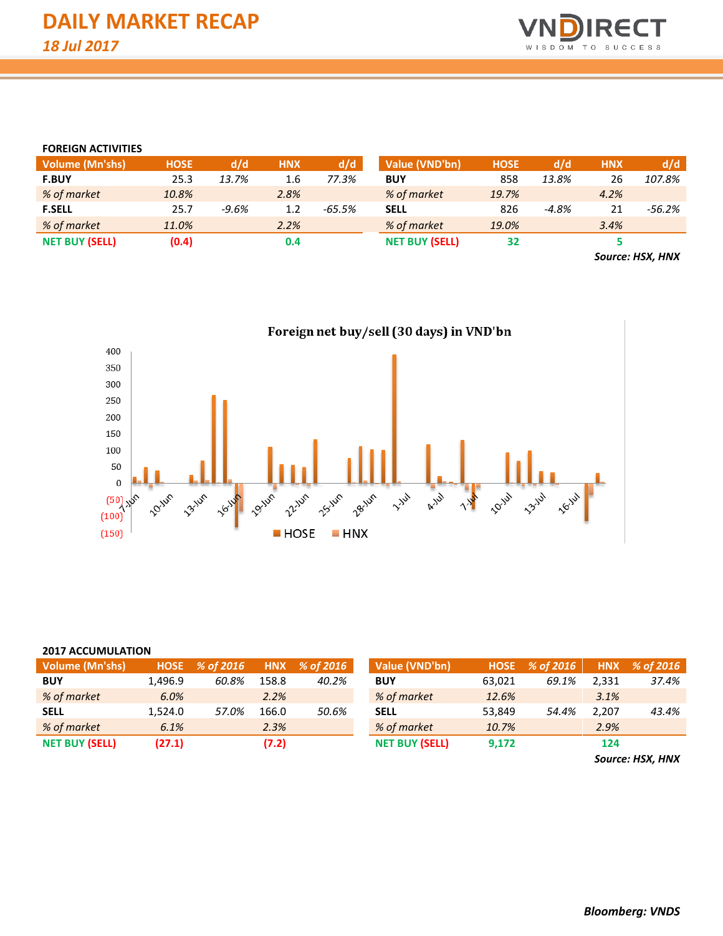

#### **FOREIGN ACTIVITIES**

| <b>Volume (Mn'shs)</b> | <b>HOSE</b> | d/d     | <b>HNX</b> | d/d    | <b>Value (VND'bn)</b> | <b>HOSE</b> | d/d     | <b>HNX</b> | d/d    |
|------------------------|-------------|---------|------------|--------|-----------------------|-------------|---------|------------|--------|
| <b>F.BUY</b>           | 25.3        | 13.7%   | 1.6        | 77.3%  | <b>BUY</b>            | 858         | 13.8%   | 26         | 107.8% |
| % of market            | 10.8%       |         | 2.8%       |        | % of market           | 19.7%       |         | 4.2%       |        |
| <b>F.SELL</b>          | 25.7        | $-9.6%$ | 1.2        | -65.5% | <b>SELL</b>           | 826         | $-4.8%$ | 21         | -56.2% |
| % of market            | 11.0%       |         | 2.2%       |        | % of market           | 19.0%       |         | 3.4%       |        |
| <b>NET BUY (SELL)</b>  | (0.4)       |         | 0.4        |        | <b>NET BUY (SELL)</b> | 32          |         |            |        |
|                        |             |         |            |        |                       |             |         |            |        |

*Source: HSX, HNX*



| <b>2017 ACCUMULATION</b> |         |                                 |       |       |                       |             |           |            |           |  |  |  |  |  |
|--------------------------|---------|---------------------------------|-------|-------|-----------------------|-------------|-----------|------------|-----------|--|--|--|--|--|
| <b>Volume (Mn'shs)</b>   |         | HNX % of 2016<br>HOSE % of 2016 |       |       | Value (VND'bn)        | <b>HOSE</b> | % of 2016 | <b>HNX</b> | % of 2016 |  |  |  |  |  |
| <b>BUY</b>               | 1.496.9 | 60.8%                           | 158.8 | 40.2% | <b>BUY</b>            | 63,021      | 69.1%     | 2.331      | 37.4%     |  |  |  |  |  |
| % of market              | 6.0%    |                                 | 2.2%  |       | % of market           | 12.6%       |           | 3.1%       |           |  |  |  |  |  |
| <b>SELL</b>              | 1.524.0 | 57.0%                           | 166.0 | 50.6% | <b>SELL</b>           | 53,849      | 54.4%     | 2.207      | 43.4%     |  |  |  |  |  |
| % of market              | 6.1%    |                                 | 2.3%  |       | % of market           | 10.7%       |           | 2.9%       |           |  |  |  |  |  |
| <b>NET BUY (SELL)</b>    | (27.1)  |                                 | (7.2) |       | <b>NET BUY (SELL)</b> | 9,172       |           | 124        |           |  |  |  |  |  |

*Source: HSX, HNX*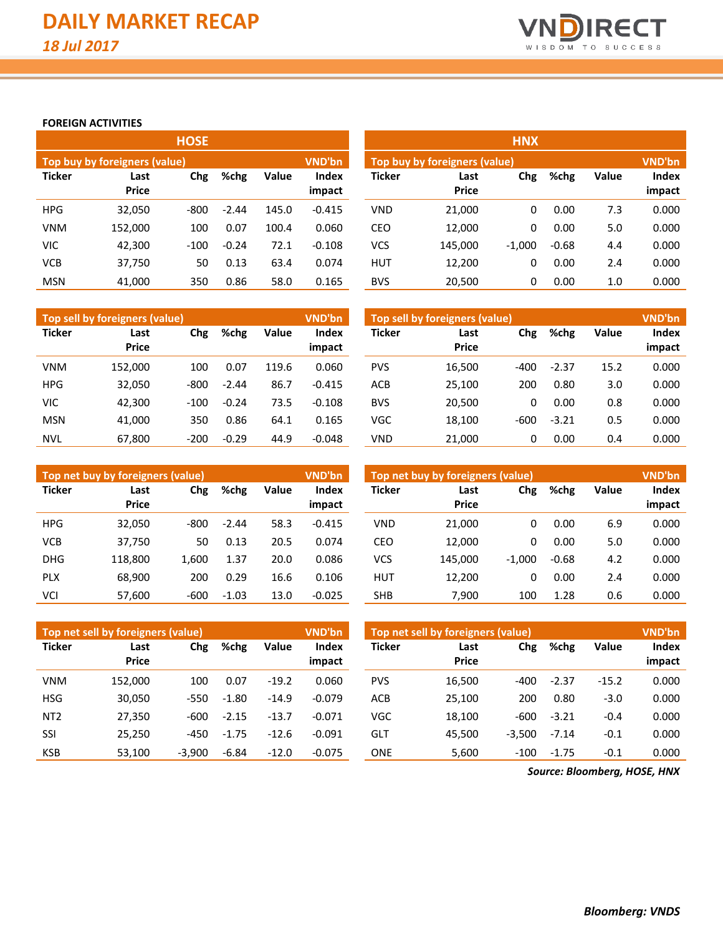

#### **FOREIGN ACTIVITIES**

|               |                               | <b>HOSE</b> |         |       |                        | <b>HNX</b>    |                                                |          |         |       |                 |  |  |  |  |
|---------------|-------------------------------|-------------|---------|-------|------------------------|---------------|------------------------------------------------|----------|---------|-------|-----------------|--|--|--|--|
|               | Top buy by foreigners (value) |             |         |       | VND'bn                 |               | <b>VND'bn</b><br>Top buy by foreigners (value) |          |         |       |                 |  |  |  |  |
| <b>Ticker</b> | Last<br><b>Price</b>          | Chg<br>%chg |         | Value | <b>Index</b><br>impact | <b>Ticker</b> | Last<br><b>Price</b>                           | Chg      | %chg    | Value | Index<br>impact |  |  |  |  |
| <b>HPG</b>    | 32,050                        | $-800$      | $-2.44$ | 145.0 | $-0.415$               | <b>VND</b>    | 21,000                                         | 0        | 0.00    | 7.3   | 0.000           |  |  |  |  |
| <b>VNM</b>    | 152,000                       | 100         | 0.07    | 100.4 | 0.060                  | <b>CEO</b>    | 12,000                                         | 0        | 0.00    | 5.0   | 0.000           |  |  |  |  |
| <b>VIC</b>    | 42,300                        | $-100$      | $-0.24$ | 72.1  | $-0.108$               | <b>VCS</b>    | 145,000                                        | $-1,000$ | $-0.68$ | 4.4   | 0.000           |  |  |  |  |
| <b>VCB</b>    | 37,750                        | 50          | 0.13    | 63.4  | 0.074                  | <b>HUT</b>    | 12,200                                         | 0        | 0.00    | 2.4   | 0.000           |  |  |  |  |
| <b>MSN</b>    | 41.000                        | 350         | 0.86    | 58.0  | 0.165                  | <b>BVS</b>    | 20,500                                         | 0        | 0.00    | 1.0   | 0.000           |  |  |  |  |

|               | Top sell by foreigners (value) |        |               |       | <b>VND'bn</b>   | Top sell by foreigners (value) |                      |        |         |              |                 |
|---------------|--------------------------------|--------|---------------|-------|-----------------|--------------------------------|----------------------|--------|---------|--------------|-----------------|
| <b>Ticker</b> | Last<br><b>Price</b>           | Chg    | Value<br>%chg |       | Index<br>impact | <b>Ticker</b>                  | Last<br><b>Price</b> | Chg    | %chg    | <b>Value</b> | Index<br>impact |
| <b>VNM</b>    | 152.000                        | 100    | 0.07          | 119.6 | 0.060           | <b>PVS</b>                     | 16,500               | $-400$ | $-2.37$ | 15.2         | 0.000           |
| <b>HPG</b>    | 32.050                         | $-800$ | $-2.44$       | 86.7  | $-0.415$        | <b>ACB</b>                     | 25.100               | 200    | 0.80    | 3.0          | 0.000           |
| <b>VIC</b>    | 42.300                         | $-100$ | $-0.24$       | 73.5  | $-0.108$        | <b>BVS</b>                     | 20,500               | 0      | 0.00    | 0.8          | 0.000           |
| <b>MSN</b>    | 41.000                         | 350    | 0.86          | 64.1  | 0.165           | VGC                            | 18.100               | $-600$ | $-3.21$ | 0.5          | 0.000           |
| <b>NVL</b>    | 67.800                         | $-200$ | $-0.29$       | 44.9  | $-0.048$        | VND                            | 21,000               | 0      | 0.00    | 0.4          | 0.000           |

|               | Top net buy by foreigners (value) |        |         |       | VND'bn          | Top net buy by foreigners (value) | <b>VND'bn</b>        |          |         |              |                 |
|---------------|-----------------------------------|--------|---------|-------|-----------------|-----------------------------------|----------------------|----------|---------|--------------|-----------------|
| <b>Ticker</b> | Last<br><b>Price</b>              | Chg    | %chg    | Value | Index<br>impact | <b>Ticker</b>                     | Last<br><b>Price</b> | Chg      | %chg    | <b>Value</b> | Index<br>impact |
| <b>HPG</b>    | 32,050                            | -800   | $-2.44$ | 58.3  | $-0.415$        | <b>VND</b>                        | 21.000               | 0        | 0.00    | 6.9          | 0.000           |
| <b>VCB</b>    | 37,750                            | 50     | 0.13    | 20.5  | 0.074           | CEO                               | 12.000               | 0        | 0.00    | 5.0          | 0.000           |
| <b>DHG</b>    | 118.800                           | 1,600  | 1.37    | 20.0  | 0.086           | VCS                               | 145.000              | $-1.000$ | $-0.68$ | 4.2          | 0.000           |
| <b>PLX</b>    | 68.900                            | 200    | 0.29    | 16.6  | 0.106           | <b>HUT</b>                        | 12,200               | 0        | 0.00    | 2.4          | 0.000           |
| VCI           | 57,600                            | $-600$ | $-1.03$ | 13.0  | $-0.025$        | <b>SHB</b>                        | 7,900                | 100      | 1.28    | 0.6          | 0.000           |

|                 | Top net sell by foreigners (value) |          |         |         | <b>VND'bn</b>   |               | Top net sell by foreigners (value) |          |         |              |                 |  |  |
|-----------------|------------------------------------|----------|---------|---------|-----------------|---------------|------------------------------------|----------|---------|--------------|-----------------|--|--|
| <b>Ticker</b>   | Last<br><b>Price</b>               | Chg      | %chg    | Value   | Index<br>impact | <b>Ticker</b> | Last<br><b>Price</b>               | Chg      | %chg    | <b>Value</b> | Index<br>impact |  |  |
|                 |                                    |          |         |         |                 |               |                                    |          |         |              |                 |  |  |
| <b>VNM</b>      | 152.000                            | 100      | 0.07    | $-19.2$ | 0.060           | <b>PVS</b>    | 16.500                             | -400     | $-2.37$ | $-15.2$      | 0.000           |  |  |
| <b>HSG</b>      | 30,050                             | $-550$   | $-1.80$ | $-14.9$ | $-0.079$        | <b>ACB</b>    | 25.100                             | 200      | 0.80    | $-3.0$       | 0.000           |  |  |
| NT <sub>2</sub> | 27,350                             | $-600$   | $-2.15$ | $-13.7$ | $-0.071$        | VGC           | 18,100                             | $-600$   | $-3.21$ | $-0.4$       | 0.000           |  |  |
| SSI             | 25,250                             | -450     | $-1.75$ | $-12.6$ | $-0.091$        | GLT           | 45.500                             | $-3,500$ | $-7.14$ | $-0.1$       | 0.000           |  |  |
| <b>KSB</b>      | 53,100                             | $-3.900$ | $-6.84$ | $-12.0$ | $-0.075$        | <b>ONE</b>    | 5,600                              | $-100$   | $-1.75$ | $-0.1$       | 0.000           |  |  |

*Source: Bloomberg, HOSE, HNX*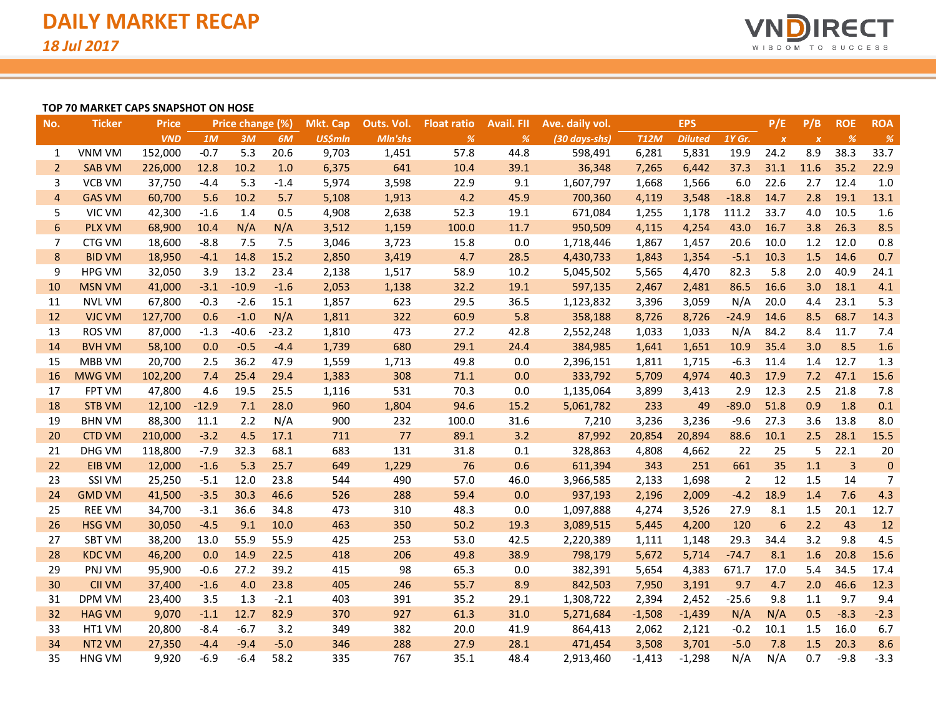

#### **TOP 70 MARKET CAPS SNAPSHOT ON HOSE**

| No.            | <b>Ticker</b>      | <b>Price</b> |         | Price change (%) |         | <b>Mkt. Cap</b> | Outs. Vol. | <b>Float ratio</b> | <b>Avail, FII</b> | Ave. daily vol. |             | <b>EPS</b>     |         | P/E              | P/B              | <b>ROE</b>     | <b>ROA</b>     |
|----------------|--------------------|--------------|---------|------------------|---------|-----------------|------------|--------------------|-------------------|-----------------|-------------|----------------|---------|------------------|------------------|----------------|----------------|
|                |                    | <b>VND</b>   | 1M      | 3M               | 6M      | <b>US\$mln</b>  | Mln'shs    | %                  | %                 | (30 days-shs)   | <b>T12M</b> | <b>Diluted</b> | 1Y Gr.  | $\boldsymbol{x}$ | $\boldsymbol{X}$ | %              | $\%$           |
| 1              | VNM VM             | 152,000      | $-0.7$  | 5.3              | 20.6    | 9,703           | 1,451      | 57.8               | 44.8              | 598,491         | 6,281       | 5,831          | 19.9    | 24.2             | 8.9              | 38.3           | 33.7           |
| $\overline{2}$ | <b>SAB VM</b>      | 226,000      | 12.8    | 10.2             | 1.0     | 6,375           | 641        | 10.4               | 39.1              | 36,348          | 7,265       | 6,442          | 37.3    | 31.1             | 11.6             | 35.2           | 22.9           |
| 3              | <b>VCB VM</b>      | 37,750       | $-4.4$  | 5.3              | $-1.4$  | 5,974           | 3,598      | 22.9               | 9.1               | 1,607,797       | 1,668       | 1,566          | 6.0     | 22.6             | 2.7              | 12.4           | 1.0            |
| $\overline{4}$ | <b>GAS VM</b>      | 60,700       | 5.6     | 10.2             | 5.7     | 5,108           | 1,913      | 4.2                | 45.9              | 700,360         | 4,119       | 3,548          | $-18.8$ | 14.7             | 2.8              | 19.1           | 13.1           |
| 5              | VIC VM             | 42,300       | $-1.6$  | 1.4              | 0.5     | 4,908           | 2,638      | 52.3               | 19.1              | 671,084         | 1,255       | 1,178          | 111.2   | 33.7             | 4.0              | 10.5           | 1.6            |
| 6              | <b>PLX VM</b>      | 68,900       | 10.4    | N/A              | N/A     | 3,512           | 1,159      | 100.0              | 11.7              | 950,509         | 4,115       | 4,254          | 43.0    | 16.7             | 3.8              | 26.3           | 8.5            |
| 7              | CTG VM             | 18,600       | $-8.8$  | 7.5              | 7.5     | 3,046           | 3,723      | 15.8               | 0.0               | 1,718,446       | 1,867       | 1,457          | 20.6    | 10.0             | 1.2              | 12.0           | 0.8            |
| 8              | <b>BID VM</b>      | 18,950       | $-4.1$  | 14.8             | 15.2    | 2,850           | 3,419      | 4.7                | 28.5              | 4,430,733       | 1,843       | 1,354          | $-5.1$  | 10.3             | 1.5              | 14.6           | 0.7            |
| 9              | <b>HPG VM</b>      | 32,050       | 3.9     | 13.2             | 23.4    | 2,138           | 1,517      | 58.9               | 10.2              | 5,045,502       | 5,565       | 4,470          | 82.3    | 5.8              | 2.0              | 40.9           | 24.1           |
| 10             | <b>MSN VM</b>      | 41,000       | $-3.1$  | $-10.9$          | $-1.6$  | 2,053           | 1,138      | 32.2               | 19.1              | 597,135         | 2,467       | 2,481          | 86.5    | 16.6             | 3.0              | 18.1           | 4.1            |
| 11             | <b>NVL VM</b>      | 67,800       | $-0.3$  | $-2.6$           | 15.1    | 1,857           | 623        | 29.5               | 36.5              | 1,123,832       | 3,396       | 3,059          | N/A     | 20.0             | 4.4              | 23.1           | 5.3            |
| 12             | <b>VJC VM</b>      | 127,700      | 0.6     | $-1.0$           | N/A     | 1,811           | 322        | 60.9               | 5.8               | 358,188         | 8,726       | 8,726          | $-24.9$ | 14.6             | 8.5              | 68.7           | 14.3           |
| 13             | <b>ROS VM</b>      | 87,000       | $-1.3$  | $-40.6$          | $-23.2$ | 1,810           | 473        | 27.2               | 42.8              | 2,552,248       | 1,033       | 1,033          | N/A     | 84.2             | 8.4              | 11.7           | 7.4            |
| 14             | <b>BVH VM</b>      | 58,100       | 0.0     | $-0.5$           | $-4.4$  | 1,739           | 680        | 29.1               | 24.4              | 384,985         | 1,641       | 1,651          | 10.9    | 35.4             | 3.0              | 8.5            | 1.6            |
| 15             | MBB VM             | 20,700       | 2.5     | 36.2             | 47.9    | 1,559           | 1,713      | 49.8               | 0.0               | 2,396,151       | 1,811       | 1,715          | $-6.3$  | 11.4             | 1.4              | 12.7           | 1.3            |
| 16             | <b>MWG VM</b>      | 102,200      | 7.4     | 25.4             | 29.4    | 1,383           | 308        | 71.1               | 0.0               | 333,792         | 5,709       | 4,974          | 40.3    | 17.9             | 7.2              | 47.1           | 15.6           |
| 17             | <b>FPT VM</b>      | 47,800       | 4.6     | 19.5             | 25.5    | 1,116           | 531        | 70.3               | 0.0               | 1,135,064       | 3,899       | 3,413          | 2.9     | 12.3             | 2.5              | 21.8           | 7.8            |
| 18             | <b>STB VM</b>      | 12,100       | $-12.9$ | 7.1              | 28.0    | 960             | 1,804      | 94.6               | 15.2              | 5,061,782       | 233         | 49             | $-89.0$ | 51.8             | 0.9              | 1.8            | 0.1            |
| 19             | <b>BHN VM</b>      | 88,300       | 11.1    | 2.2              | N/A     | 900             | 232        | 100.0              | 31.6              | 7,210           | 3,236       | 3,236          | $-9.6$  | 27.3             | 3.6              | 13.8           | 8.0            |
| 20             | <b>CTD VM</b>      | 210,000      | $-3.2$  | 4.5              | 17.1    | 711             | 77         | 89.1               | 3.2               | 87,992          | 20,854      | 20,894         | 88.6    | 10.1             | 2.5              | 28.1           | 15.5           |
| 21             | DHG VM             | 118,800      | $-7.9$  | 32.3             | 68.1    | 683             | 131        | 31.8               | 0.1               | 328,863         | 4,808       | 4,662          | 22      | 25               | 5                | 22.1           | 20             |
| 22             | EIB VM             | 12,000       | $-1.6$  | 5.3              | 25.7    | 649             | 1,229      | 76                 | 0.6               | 611,394         | 343         | 251            | 661     | 35               | 1.1              | $\overline{3}$ | $\pmb{0}$      |
| 23             | SSI VM             | 25,250       | $-5.1$  | 12.0             | 23.8    | 544             | 490        | 57.0               | 46.0              | 3,966,585       | 2,133       | 1,698          | 2       | 12               | 1.5              | 14             | $\overline{7}$ |
| 24             | <b>GMD VM</b>      | 41,500       | $-3.5$  | 30.3             | 46.6    | 526             | 288        | 59.4               | 0.0               | 937,193         | 2,196       | 2,009          | $-4.2$  | 18.9             | 1.4              | 7.6            | 4.3            |
| 25             | <b>REE VM</b>      | 34,700       | $-3.1$  | 36.6             | 34.8    | 473             | 310        | 48.3               | 0.0               | 1,097,888       | 4,274       | 3,526          | 27.9    | 8.1              | 1.5              | 20.1           | 12.7           |
| 26             | <b>HSG VM</b>      | 30,050       | $-4.5$  | 9.1              | 10.0    | 463             | 350        | 50.2               | 19.3              | 3,089,515       | 5,445       | 4,200          | 120     | 6                | 2.2              | 43             | 12             |
| 27             | <b>SBT VM</b>      | 38,200       | 13.0    | 55.9             | 55.9    | 425             | 253        | 53.0               | 42.5              | 2,220,389       | 1,111       | 1,148          | 29.3    | 34.4             | 3.2              | 9.8            | 4.5            |
| 28             | <b>KDC VM</b>      | 46,200       | 0.0     | 14.9             | 22.5    | 418             | 206        | 49.8               | 38.9              | 798,179         | 5,672       | 5,714          | $-74.7$ | 8.1              | 1.6              | 20.8           | 15.6           |
| 29             | PNJ VM             | 95,900       | $-0.6$  | 27.2             | 39.2    | 415             | 98         | 65.3               | 0.0               | 382,391         | 5,654       | 4,383          | 671.7   | 17.0             | 5.4              | 34.5           | 17.4           |
| 30             | <b>CII VM</b>      | 37,400       | $-1.6$  | 4.0              | 23.8    | 405             | 246        | 55.7               | 8.9               | 842,503         | 7,950       | 3,191          | 9.7     | 4.7              | 2.0              | 46.6           | 12.3           |
| 31             | DPM VM             | 23,400       | 3.5     | 1.3              | $-2.1$  | 403             | 391        | 35.2               | 29.1              | 1,308,722       | 2,394       | 2,452          | $-25.6$ | 9.8              | 1.1              | 9.7            | 9.4            |
| 32             | <b>HAG VM</b>      | 9,070        | $-1.1$  | 12.7             | 82.9    | 370             | 927        | 61.3               | 31.0              | 5,271,684       | $-1,508$    | $-1,439$       | N/A     | N/A              | 0.5              | $-8.3$         | $-2.3$         |
| 33             | HT1 VM             | 20,800       | $-8.4$  | $-6.7$           | 3.2     | 349             | 382        | 20.0               | 41.9              | 864,413         | 2,062       | 2,121          | $-0.2$  | 10.1             | 1.5              | 16.0           | 6.7            |
| 34             | NT <sub>2</sub> VM | 27,350       | $-4.4$  | $-9.4$           | $-5.0$  | 346             | 288        | 27.9               | 28.1              | 471,454         | 3,508       | 3,701          | $-5.0$  | 7.8              | 1.5              | 20.3           | 8.6            |
| 35             | <b>HNG VM</b>      | 9,920        | $-6.9$  | $-6.4$           | 58.2    | 335             | 767        | 35.1               | 48.4              | 2,913,460       | $-1,413$    | $-1,298$       | N/A     | N/A              | 0.7              | $-9.8$         | $-3.3$         |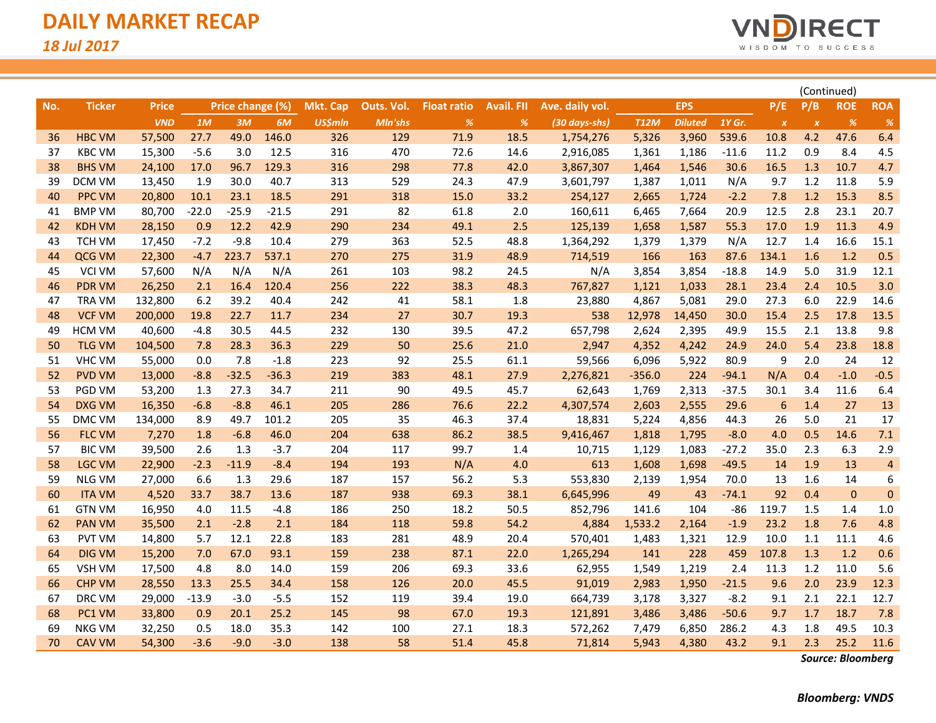

|     |               |              |         |                  |         |                 |            |                    |                   |                 |             |                |         |                           | (Continued)               |                                       |                |
|-----|---------------|--------------|---------|------------------|---------|-----------------|------------|--------------------|-------------------|-----------------|-------------|----------------|---------|---------------------------|---------------------------|---------------------------------------|----------------|
| No. | <b>Ticker</b> | <b>Price</b> |         | Price change (%) |         | <b>Mkt. Cap</b> | Outs. Vol. | <b>Float ratio</b> | <b>Avail. FII</b> | Ave. daily vol. |             | <b>EPS</b>     |         | P/E                       | P/B                       | <b>ROE</b>                            | <b>ROA</b>     |
|     |               | <b>VND</b>   | 1M      | 3M               | 6M      | <b>US\$mln</b>  | Mln'shs    | %                  | $\frac{9}{6}$     | (30 days-shs)   | <b>T12M</b> | <b>Diluted</b> | 1Y Gr.  | $\boldsymbol{\mathsf{x}}$ | $\boldsymbol{\mathsf{x}}$ | $% \mathcal{A}=\mathcal{A}^{\prime }$ | %              |
| 36  | <b>HBC VM</b> | 57,500       | 27.7    | 49.0             | 146.0   | 326             | 129        | 71.9               | 18.5              | 1,754,276       | 5,326       | 3,960          | 539.6   | 10.8                      | 4.2                       | 47.6                                  | 6.4            |
| 37  | <b>KBC VM</b> | 15,300       | $-5.6$  | 3.0              | 12.5    | 316             | 470        | 72.6               | 14.6              | 2,916,085       | 1,361       | 1,186          | $-11.6$ | 11.2                      | 0.9                       | 8.4                                   | 4.5            |
| 38  | <b>BHS VM</b> | 24,100       | 17.0    | 96.7             | 129.3   | 316             | 298        | 77.8               | 42.0              | 3,867,307       | 1,464       | 1,546          | 30.6    | 16.5                      | 1.3                       | 10.7                                  | 4.7            |
| 39  | DCM VM        | 13,450       | 1.9     | 30.0             | 40.7    | 313             | 529        | 24.3               | 47.9              | 3,601,797       | 1,387       | 1,011          | N/A     | 9.7                       | 1.2                       | 11.8                                  | 5.9            |
| 40  | <b>PPC VM</b> | 20,800       | 10.1    | 23.1             | 18.5    | 291             | 318        | 15.0               | 33.2              | 254,127         | 2,665       | 1,724          | $-2.2$  | 7.8                       | 1.2                       | 15.3                                  | 8.5            |
| 41  | <b>BMP VM</b> | 80,700       | $-22.0$ | $-25.9$          | $-21.5$ | 291             | 82         | 61.8               | 2.0               | 160,611         | 6,465       | 7,664          | 20.9    | 12.5                      | 2.8                       | 23.1                                  | 20.7           |
| 42  | <b>KDH VM</b> | 28,150       | 0.9     | 12.2             | 42.9    | 290             | 234        | 49.1               | 2.5               | 125,139         | 1,658       | 1,587          | 55.3    | 17.0                      | 1.9                       | 11.3                                  | 4.9            |
| 43  | <b>TCH VM</b> | 17,450       | $-7.2$  | $-9.8$           | 10.4    | 279             | 363        | 52.5               | 48.8              | 1,364,292       | 1,379       | 1,379          | N/A     | 12.7                      | 1.4                       | 16.6                                  | 15.1           |
| 44  | QCG VM        | 22,300       | $-4.7$  | 223.7            | 537.1   | 270             | 275        | 31.9               | 48.9              | 714,519         | 166         | 163            | 87.6    | 134.1                     | 1.6                       | 1.2                                   | 0.5            |
| 45  | <b>VCI VM</b> | 57,600       | N/A     | N/A              | N/A     | 261             | 103        | 98.2               | 24.5              | N/A             | 3,854       | 3,854          | $-18.8$ | 14.9                      | 5.0                       | 31.9                                  | 12.1           |
| 46  | <b>PDR VM</b> | 26,250       | 2.1     | 16.4             | 120.4   | 256             | 222        | 38.3               | 48.3              | 767,827         | 1,121       | 1,033          | 28.1    | 23.4                      | 2.4                       | 10.5                                  | 3.0            |
| 47  | <b>TRA VM</b> | 132,800      | 6.2     | 39.2             | 40.4    | 242             | 41         | 58.1               | 1.8               | 23,880          | 4,867       | 5,081          | 29.0    | 27.3                      | 6.0                       | 22.9                                  | 14.6           |
| 48  | <b>VCF VM</b> | 200,000      | 19.8    | 22.7             | 11.7    | 234             | 27         | 30.7               | 19.3              | 538             | 12,978      | 14,450         | 30.0    | 15.4                      | 2.5                       | 17.8                                  | 13.5           |
| 49  | <b>HCM VM</b> | 40,600       | $-4.8$  | 30.5             | 44.5    | 232             | 130        | 39.5               | 47.2              | 657,798         | 2,624       | 2,395          | 49.9    | 15.5                      | 2.1                       | 13.8                                  | 9.8            |
| 50  | <b>TLG VM</b> | 104,500      | 7.8     | 28.3             | 36.3    | 229             | 50         | 25.6               | 21.0              | 2,947           | 4,352       | 4,242          | 24.9    | 24.0                      | 5.4                       | 23.8                                  | 18.8           |
| 51  | VHC VM        | 55,000       | 0.0     | 7.8              | $-1.8$  | 223             | 92         | 25.5               | 61.1              | 59,566          | 6,096       | 5,922          | 80.9    | 9                         | 2.0                       | 24                                    | 12             |
| 52  | <b>PVD VM</b> | 13,000       | $-8.8$  | $-32.5$          | $-36.3$ | 219             | 383        | 48.1               | 27.9              | 2,276,821       | $-356.0$    | 224            | $-94.1$ | N/A                       | 0.4                       | $-1.0$                                | $-0.5$         |
| 53  | PGD VM        | 53,200       | 1.3     | 27.3             | 34.7    | 211             | 90         | 49.5               | 45.7              | 62,643          | 1,769       | 2,313          | $-37.5$ | 30.1                      | 3.4                       | 11.6                                  | 6.4            |
| 54  | <b>DXG VM</b> | 16,350       | $-6.8$  | $-8.8$           | 46.1    | 205             | 286        | 76.6               | 22.2              | 4,307,574       | 2,603       | 2,555          | 29.6    | $6\phantom{1}6$           | 1.4                       | 27                                    | 13             |
| 55  | DMC VM        | 134,000      | 8.9     | 49.7             | 101.2   | 205             | 35         | 46.3               | 37.4              | 18,831          | 5,224       | 4,856          | 44.3    | 26                        | 5.0                       | 21                                    | 17             |
| 56  | <b>FLC VM</b> | 7,270        | 1.8     | $-6.8$           | 46.0    | 204             | 638        | 86.2               | 38.5              | 9,416,467       | 1,818       | 1,795          | $-8.0$  | 4.0                       | 0.5                       | 14.6                                  | 7.1            |
| 57  | <b>BIC VM</b> | 39,500       | 2.6     | 1.3              | $-3.7$  | 204             | 117        | 99.7               | 1.4               | 10,715          | 1,129       | 1,083          | $-27.2$ | 35.0                      | 2.3                       | 6.3                                   | 2.9            |
| 58  | <b>LGC VM</b> | 22,900       | $-2.3$  | $-11.9$          | $-8.4$  | 194             | 193        | N/A                | 4.0               | 613             | 1,608       | 1,698          | $-49.5$ | 14                        | 1.9                       | 13                                    | $\overline{a}$ |
| 59  | <b>NLG VM</b> | 27,000       | 6.6     | 1.3              | 29.6    | 187             | 157        | 56.2               | 5.3               | 553,830         | 2,139       | 1,954          | 70.0    | 13                        | 1.6                       | 14                                    | 6              |
| 60  | <b>ITA VM</b> | 4,520        | 33.7    | 38.7             | 13.6    | 187             | 938        | 69.3               | 38.1              | 6,645,996       | 49          | 43             | $-74.1$ | 92                        | 0.4                       | $\mathbf{0}$                          | $\mathbf{0}$   |
| 61  | <b>GTN VM</b> | 16,950       | 4.0     | 11.5             | $-4.8$  | 186             | 250        | 18.2               | 50.5              | 852,796         | 141.6       | 104            | -86     | 119.7                     | 1.5                       | 1.4                                   | 1.0            |
| 62  | <b>PAN VM</b> | 35,500       | 2.1     | $-2.8$           | 2.1     | 184             | 118        | 59.8               | 54.2              | 4,884           | 1,533.2     | 2,164          | $-1.9$  | 23.2                      | 1.8                       | 7.6                                   | 4.8            |
| 63  | <b>PVT VM</b> | 14,800       | 5.7     | 12.1             | 22.8    | 183             | 281        | 48.9               | 20.4              | 570,401         | 1,483       | 1,321          | 12.9    | 10.0                      | 1.1                       | 11.1                                  | 4.6            |
| 64  | <b>DIG VM</b> | 15,200       | 7.0     | 67.0             | 93.1    | 159             | 238        | 87.1               | 22.0              | 1,265,294       | 141         | 228            | 459     | 107.8                     | 1.3                       | 1.2                                   | 0.6            |
| 65  | <b>VSH VM</b> | 17,500       | 4.8     | 8.0              | 14.0    | 159             | 206        | 69.3               | 33.6              | 62,955          | 1,549       | 1,219          | 2.4     | 11.3                      | 1.2                       | 11.0                                  | 5.6            |
| 66  | <b>CHP VM</b> | 28,550       | 13.3    | 25.5             | 34.4    | 158             | 126        | 20.0               | 45.5              | 91,019          | 2,983       | 1,950          | $-21.5$ | 9.6                       | 2.0                       | 23.9                                  | 12.3           |
| 67  | DRC VM        | 29,000       | $-13.9$ | $-3.0$           | $-5.5$  | 152             | 119        | 39.4               | 19.0              | 664,739         | 3,178       | 3,327          | $-8.2$  | 9.1                       | 2.1                       | 22.1                                  | 12.7           |
| 68  | PC1 VM        | 33,800       | 0.9     | 20.1             | 25.2    | 145             | 98         | 67.0               | 19.3              | 121,891         | 3,486       | 3,486          | $-50.6$ | 9.7                       | 1.7                       | 18.7                                  | 7.8            |
| 69  | <b>NKG VM</b> | 32,250       | 0.5     | 18.0             | 35.3    | 142             | 100        | 27.1               | 18.3              | 572,262         | 7,479       | 6,850          | 286.2   | 4.3                       | 1.8                       | 49.5                                  | 10.3           |
| 70  | <b>CAV VM</b> | 54,300       | $-3.6$  | $-9.0$           | $-3.0$  | 138             | 58         | 51.4               | 45.8              | 71,814          | 5,943       | 4,380          | 43.2    | 9.1                       | 2.3                       | 25.2                                  | 11.6           |

*Source: Bloomberg*